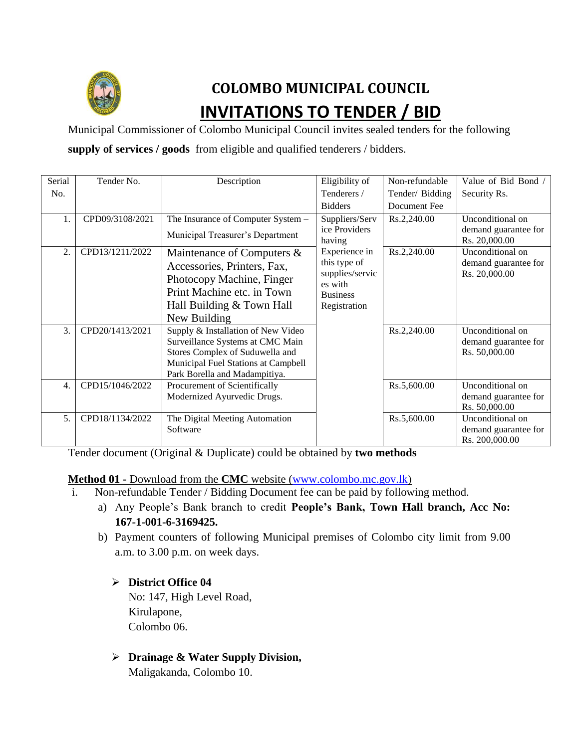

# **COLOMBO MUNICIPAL COUNCIL INVITATIONS TO TENDER / BID**

Municipal Commissioner of Colombo Municipal Council invites sealed tenders for the following

**supply of services / goods** from eligible and qualified tenderers / bidders.

| Serial | Tender No.      | Description                         | Eligibility of             | Non-refundable  | Value of Bid Bond /                   |
|--------|-----------------|-------------------------------------|----------------------------|-----------------|---------------------------------------|
| No.    |                 |                                     | Tenderers /                | Tender/ Bidding | Security Rs.                          |
|        |                 |                                     | <b>Bidders</b>             | Document Fee    |                                       |
| 1.     | CPD09/3108/2021 | The Insurance of Computer System -  | Suppliers/Serv             | Rs.2,240.00     | Unconditional on                      |
|        |                 | Municipal Treasurer's Department    | ice Providers<br>having    |                 | demand guarantee for<br>Rs. 20,000.00 |
| 2.     | CPD13/1211/2022 | Maintenance of Computers &          | Experience in              | Rs.2,240.00     | Unconditional on                      |
|        |                 | Accessories, Printers, Fax,         | this type of               |                 | demand guarantee for                  |
|        |                 | Photocopy Machine, Finger           | supplies/servic<br>es with |                 | Rs. 20,000.00                         |
|        |                 | Print Machine etc. in Town          | <b>Business</b>            |                 |                                       |
|        |                 | Hall Building & Town Hall           | Registration               |                 |                                       |
|        |                 | New Building                        |                            |                 |                                       |
| 3.     | CPD20/1413/2021 | Supply & Installation of New Video  |                            | Rs.2,240.00     | Unconditional on                      |
|        |                 | Surveillance Systems at CMC Main    |                            |                 | demand guarantee for                  |
|        |                 | Stores Complex of Suduwella and     |                            |                 | Rs. 50,000.00                         |
|        |                 | Municipal Fuel Stations at Campbell |                            |                 |                                       |
|        |                 | Park Borella and Madampitiya.       |                            |                 |                                       |
| 4.     | CPD15/1046/2022 | Procurement of Scientifically       |                            | Rs.5,600.00     | Unconditional on                      |
|        |                 | Modernized Ayurvedic Drugs.         |                            |                 | demand guarantee for                  |
|        |                 |                                     |                            |                 | Rs. 50,000.00                         |
| 5.     | CPD18/1134/2022 | The Digital Meeting Automation      |                            | Rs.5,600.00     | Unconditional on                      |
|        |                 | Software                            |                            |                 | demand guarantee for                  |
|        |                 |                                     |                            |                 | Rs. 200,000.00                        |

Tender document (Original & Duplicate) could be obtained by **two methods**

## **Method 01 -** Download from the **CMC** website [\(www.colombo.mc.gov.lk](file:///C:/AppData/Local/Microsoft/Windows/Temporary%20Internet%20Files/Content.Word/www.colombo.mc.gov.lk))

- i. Non-refundable Tender / Bidding Document fee can be paid by following method.
	- a) Any People's Bank branch to credit **People's Bank, Town Hall branch, Acc No: 167-1-001-6-3169425.**
	- b) Payment counters of following Municipal premises of Colombo city limit from 9.00 a.m. to 3.00 p.m. on week days.

## **District Office 04**

No: 147, High Level Road, Kirulapone, Colombo 06.

#### **Drainage & Water Supply Division,** Maligakanda, Colombo 10.